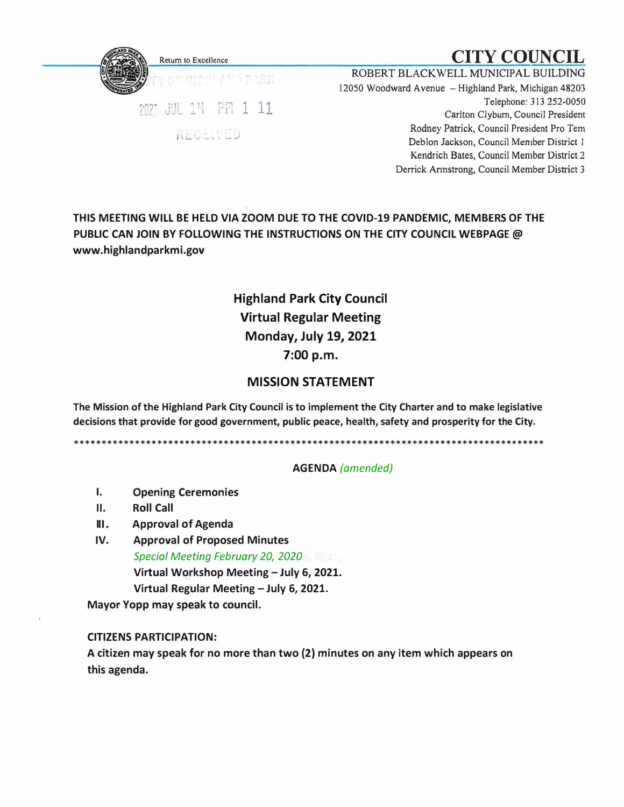

# Return to Excellence  $\mathbf{CITY}\ \mathbf{COUNTL}$

ROBERT BLACKWELL MUNICIPAL BUILDING 12050 Woodward Avenue - Highland Park, Michigan 48203 Telephone: 313 252-0050 Carlton Clyburn, Council President Rodney Patrick, Council President Pro Tern Deblon Jackson, Council Member District I Kendrich Bates, Council Member District 2 Derrick Annstrong, Council Member District 3

**THIS MEETING WILL BE HELD VIA ZOOM DUE TO THE COVID-19 PANDEMIC, MEMBERS OF THE PUBLIC CAN JOIN BY FOLLOWING THE INSTRUCTIONS ON THE CITY COUNCIL WEBPAGE@ www.highlandparkmi.gov** 

## **Highland Park City Council Virtual Regular Meeting Monday, July 19, 2021 7:00 p.m.**

### **MISSION STATEMENT**

**The Mission of the Highland Park City Council is to implement the City Charter and to make legislative decisions that provide for good government, public peace, health, safety and prosperity for the City.** 

\*\*\*\*\*\*\*\*\*\*\*\*\*\*\*\*\*\*\*\*\*\*\*\*\*\*\*\*\*\*\*\*\*\*\*\*\*\*\*\*\*\*\*\*\*\*\*\*\*\*\*\*\*\*\*\*\*\*\*\*\*\*\*\*\*\*\*\*\*\*\*\*\*\*\*\*\*\*\*\*\*\*\*\*\*

#### **AGENDA** *(amended)*

- **I. Opening Ceremonies**
- **11. Roll Call**
- **Ill. Approval of Agenda**
- **IV. Approval of Proposed Minutes** *Special Meeting February 20, 2020* **Virtual Workshop Meeting - July 6, 2021. Virtual Regular Meeting - July 6, 2021.**

**Mayor Yopp may speak to council.** 

#### **CITIZENS PARTICIPATION:**

**A citizen may speak for no more than two (2) minutes on any item which appears on this agenda.**